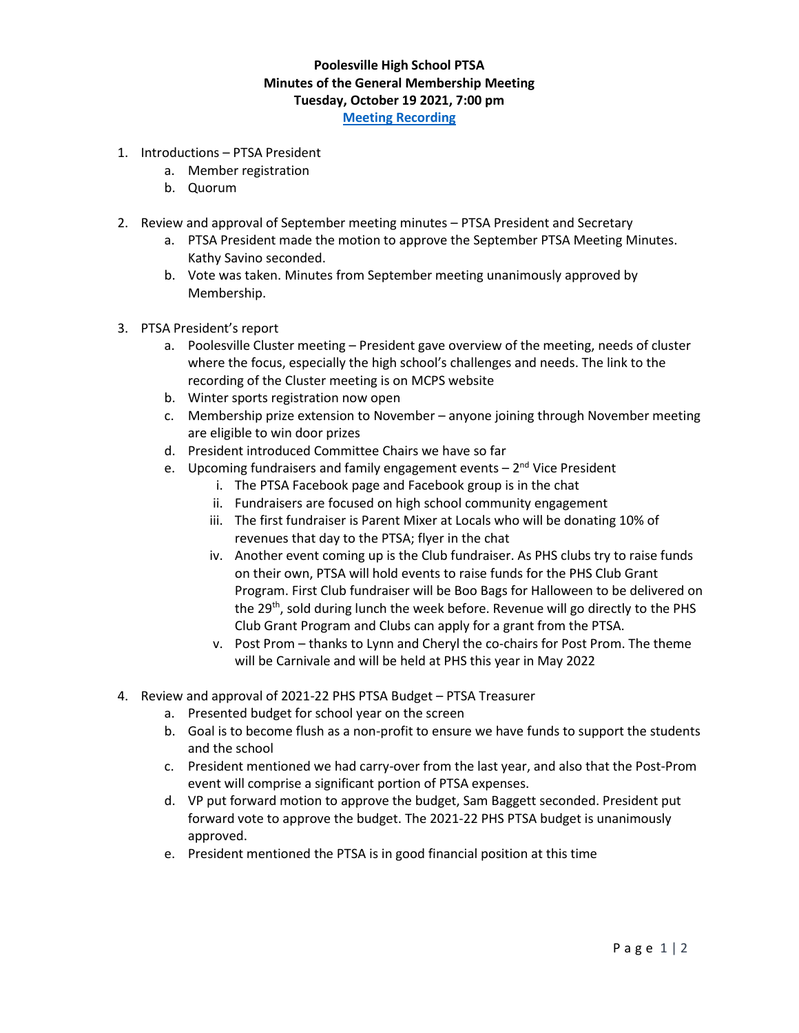## **Poolesville High School PTSA Minutes of the General Membership Meeting Tuesday, October 19 2021, 7:00 pm [Meeting Recording](https://www.poolesvillehighschoolptsa.org/ptsa-minutes)**

- 1. Introductions PTSA President
	- a. Member registration
	- b. Quorum
- 2. Review and approval of September meeting minutes PTSA President and Secretary
	- a. PTSA President made the motion to approve the September PTSA Meeting Minutes. Kathy Savino seconded.
	- b. Vote was taken. Minutes from September meeting unanimously approved by Membership.
- 3. PTSA President's report
	- a. Poolesville Cluster meeting President gave overview of the meeting, needs of cluster where the focus, especially the high school's challenges and needs. The link to the recording of the Cluster meeting is on MCPS website
	- b. Winter sports registration now open
	- c. Membership prize extension to November anyone joining through November meeting are eligible to win door prizes
	- d. President introduced Committee Chairs we have so far
	- e. Upcoming fundraisers and family engagement events 2<sup>nd</sup> Vice President
		- i. The PTSA Facebook page and Facebook group is in the chat
		- ii. Fundraisers are focused on high school community engagement
		- iii. The first fundraiser is Parent Mixer at Locals who will be donating 10% of revenues that day to the PTSA; flyer in the chat
		- iv. Another event coming up is the Club fundraiser. As PHS clubs try to raise funds on their own, PTSA will hold events to raise funds for the PHS Club Grant Program. First Club fundraiser will be Boo Bags for Halloween to be delivered on the 29<sup>th</sup>, sold during lunch the week before. Revenue will go directly to the PHS Club Grant Program and Clubs can apply for a grant from the PTSA.
		- v. Post Prom thanks to Lynn and Cheryl the co-chairs for Post Prom. The theme will be Carnivale and will be held at PHS this year in May 2022
- 4. Review and approval of 2021-22 PHS PTSA Budget PTSA Treasurer
	- a. Presented budget for school year on the screen
	- b. Goal is to become flush as a non-profit to ensure we have funds to support the students and the school
	- c. President mentioned we had carry-over from the last year, and also that the Post-Prom event will comprise a significant portion of PTSA expenses.
	- d. VP put forward motion to approve the budget, Sam Baggett seconded. President put forward vote to approve the budget. The 2021-22 PHS PTSA budget is unanimously approved.
	- e. President mentioned the PTSA is in good financial position at this time